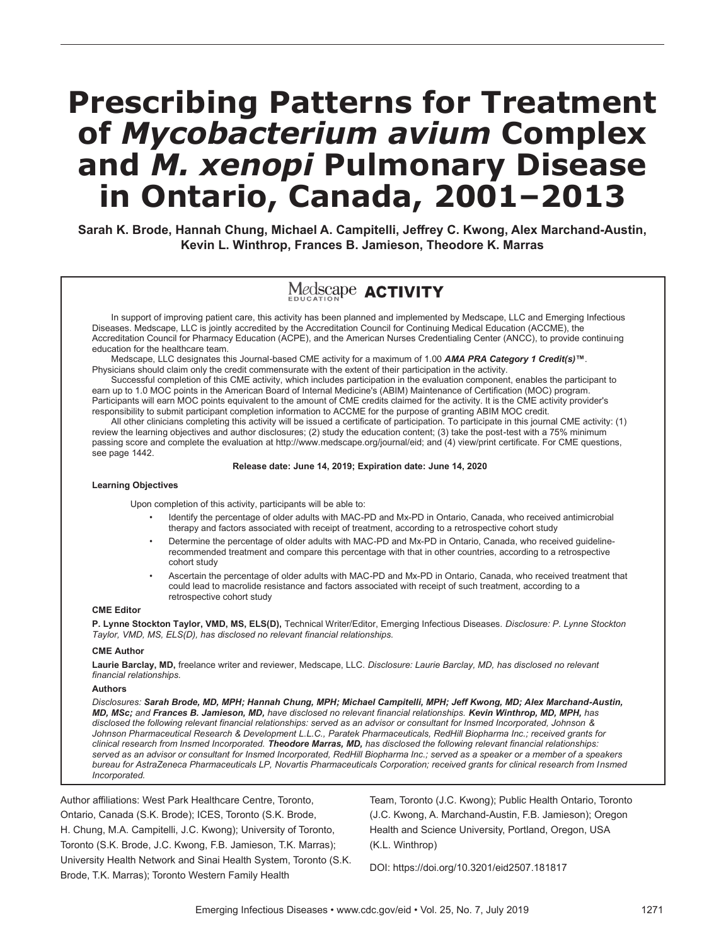# **Prescribing Patterns for Treatment of** *Mycobacterium avium* **Complex and** *M. xenopi* **Pulmonary Disease in Ontario, Canada, 2001–2013**

**Sarah K. Brode, Hannah Chung, Michael A. Campitelli, Jeffrey C. Kwong, Alex Marchand-Austin, Kevin L. Winthrop, Frances B. Jamieson, Theodore K. Marras**

# Medscape **ACTIVITY**

In support of improving patient care, this activity has been planned and implemented by Medscape, LLC and Emerging Infectious Diseases. Medscape, LLC is jointly accredited by the Accreditation Council for Continuing Medical Education (ACCME), the Accreditation Council for Pharmacy Education (ACPE), and the American Nurses Credentialing Center (ANCC), to provide continuing education for the healthcare team.

Medscape, LLC designates this Journal-based CME activity for a maximum of 1.00 *AMA PRA Category 1 Credit(s)***™**. Physicians should claim only the credit commensurate with the extent of their participation in the activity.

Successful completion of this CME activity, which includes participation in the evaluation component, enables the participant to earn up to 1.0 MOC points in the American Board of Internal Medicine's (ABIM) Maintenance of Certification (MOC) program. Participants will earn MOC points equivalent to the amount of CME credits claimed for the activity. It is the CME activity provider's responsibility to submit participant completion information to ACCME for the purpose of granting ABIM MOC credit.

All other clinicians completing this activity will be issued a certificate of participation. To participate in this journal CME activity: (1) review the learning objectives and author disclosures; (2) study the education content; (3) take the post-test with a 75% minimum passing score and complete the evaluation at http://www.medscape.org/journal/eid; and (4) view/print certificate. For CME questions, see page 1442.

#### **Release date: June 14, 2019; Expiration date: June 14, 2020**

#### **Learning Objectives**

Upon completion of this activity, participants will be able to:

- Identify the percentage of older adults with MAC-PD and Mx-PD in Ontario, Canada, who received antimicrobial therapy and factors associated with receipt of treatment, according to a retrospective cohort study
- Determine the percentage of older adults with MAC-PD and Mx-PD in Ontario, Canada, who received guidelinerecommended treatment and compare this percentage with that in other countries, according to a retrospective cohort study
- Ascertain the percentage of older adults with MAC-PD and Mx-PD in Ontario, Canada, who received treatment that could lead to macrolide resistance and factors associated with receipt of such treatment, according to a retrospective cohort study

#### **CME Editor**

**P. Lynne Stockton Taylor, VMD, MS, ELS(D),** Technical Writer/Editor, Emerging Infectious Diseases. *Disclosure: P. Lynne Stockton Taylor, VMD, MS, ELS(D), has disclosed no relevant financial relationships.*

#### **CME Author**

**Laurie Barclay, MD,** freelance writer and reviewer, Medscape, LLC. *Disclosure: Laurie Barclay, MD, has disclosed no relevant financial relationships.*

#### **Authors**

*Disclosures: Sarah Brode, MD, MPH; Hannah Chung, MPH; Michael Campitelli, MPH; Jeff Kwong, MD; Alex Marchand-Austin, MD, MSc; and Frances B. Jamieson, MD, have disclosed no relevant financial relationships. Kevin Winthrop, MD, MPH, has disclosed the following relevant financial relationships: served as an advisor or consultant for Insmed Incorporated, Johnson & Johnson Pharmaceutical Research & Development L.L.C., Paratek Pharmaceuticals, RedHill Biopharma Inc.; received grants for clinical research from Insmed Incorporated. Theodore Marras, MD, has disclosed the following relevant financial relationships: served as an advisor or consultant for Insmed Incorporated, RedHill Biopharma Inc.; served as a speaker or a member of a speakers bureau for AstraZeneca Pharmaceuticals LP, Novartis Pharmaceuticals Corporation; received grants for clinical research from Insmed Incorporated.*

Author affiliations: West Park Healthcare Centre, Toronto, Ontario, Canada (S.K. Brode); ICES, Toronto (S.K. Brode, H. Chung, M.A. Campitelli, J.C. Kwong); University of Toronto, Toronto (S.K. Brode, J.C. Kwong, F.B. Jamieson, T.K. Marras); University Health Network and Sinai Health System, Toronto (S.K. Brode, T.K. Marras); Toronto Western Family Health

Team, Toronto (J.C. Kwong); Public Health Ontario, Toronto (J.C. Kwong, A. Marchand-Austin, F.B. Jamieson); Oregon Health and Science University, Portland, Oregon, USA (K.L. Winthrop)

DOI: https://doi.org/10.3201/eid2507.181817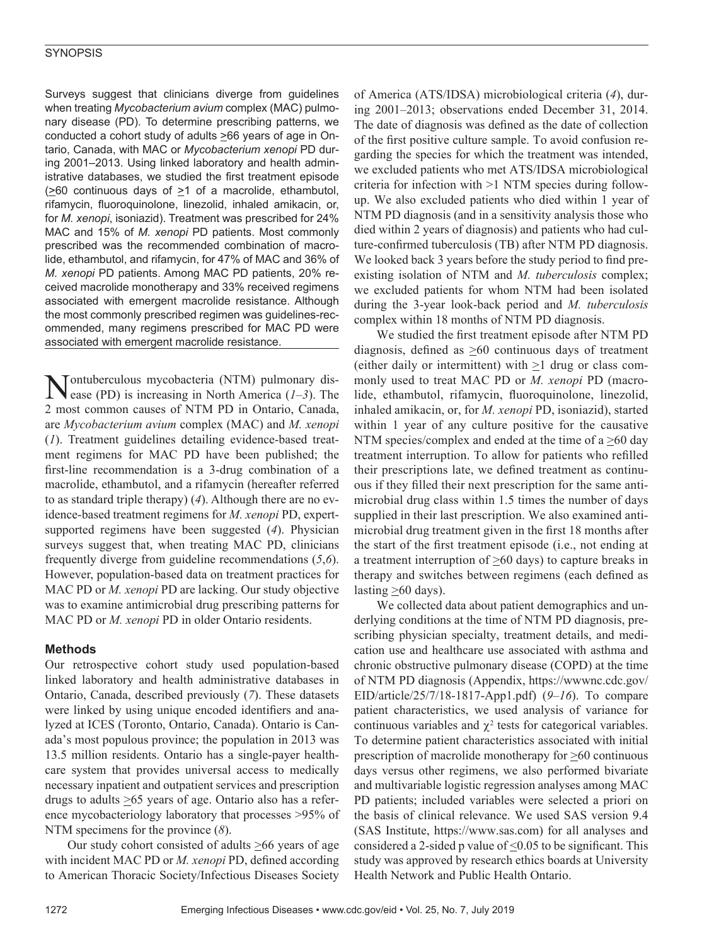Surveys suggest that clinicians diverge from guidelines when treating *Mycobacterium avium* complex (MAC) pulmonary disease (PD). To determine prescribing patterns, we conducted a cohort study of adults  $\geq 66$  years of age in Ontario, Canada, with MAC or *Mycobacterium xenopi* PD during 2001–2013. Using linked laboratory and health administrative databases, we studied the first treatment episode  $\geq 60$  continuous days of  $\geq 1$  of a macrolide, ethambutol, rifamycin, fluoroquinolone, linezolid, inhaled amikacin, or, for *M. xenopi*, isoniazid). Treatment was prescribed for 24% MAC and 15% of *M. xenopi* PD patients. Most commonly prescribed was the recommended combination of macrolide, ethambutol, and rifamycin, for 47% of MAC and 36% of *M. xenopi* PD patients. Among MAC PD patients, 20% received macrolide monotherapy and 33% received regimens associated with emergent macrolide resistance. Although the most commonly prescribed regimen was guidelines-recommended, many regimens prescribed for MAC PD were associated with emergent macrolide resistance.

Tontuberculous mycobacteria (NTM) pulmonary disease (PD) is increasing in North America  $(1-3)$ . The 2 most common causes of NTM PD in Ontario, Canada, are *Mycobacterium avium* complex (MAC) and *M. xenopi*  (*1*). Treatment guidelines detailing evidence-based treatment regimens for MAC PD have been published; the first-line recommendation is a 3-drug combination of a macrolide, ethambutol, and a rifamycin (hereafter referred to as standard triple therapy) (*4*). Although there are no evidence-based treatment regimens for *M. xenopi* PD, expertsupported regimens have been suggested (*4*). Physician surveys suggest that, when treating MAC PD, clinicians frequently diverge from guideline recommendations (*5*,*6*). However, population-based data on treatment practices for MAC PD or *M. xenopi* PD are lacking. Our study objective was to examine antimicrobial drug prescribing patterns for MAC PD or *M. xenopi* PD in older Ontario residents.

# **Methods**

Our retrospective cohort study used population-based linked laboratory and health administrative databases in Ontario, Canada, described previously (*7*). These datasets were linked by using unique encoded identifiers and analyzed at ICES (Toronto, Ontario, Canada). Ontario is Canada's most populous province; the population in 2013 was 13.5 million residents. Ontario has a single-payer healthcare system that provides universal access to medically necessary inpatient and outpatient services and prescription drugs to adults  $\geq 65$  years of age. Ontario also has a reference mycobacteriology laboratory that processes >95% of NTM specimens for the province (*8*).

Our study cohort consisted of adults  $\geq 66$  years of age with incident MAC PD or *M. xenopi* PD, defined according to American Thoracic Society/Infectious Diseases Society of America (ATS/IDSA) microbiological criteria (*4*), during 2001–2013; observations ended December 31, 2014. The date of diagnosis was defined as the date of collection of the first positive culture sample. To avoid confusion regarding the species for which the treatment was intended, we excluded patients who met ATS/IDSA microbiological criteria for infection with >1 NTM species during followup. We also excluded patients who died within 1 year of NTM PD diagnosis (and in a sensitivity analysis those who died within 2 years of diagnosis) and patients who had culture-confirmed tuberculosis (TB) after NTM PD diagnosis. We looked back 3 years before the study period to find preexisting isolation of NTM and *M. tuberculosis* complex; we excluded patients for whom NTM had been isolated during the 3-year look-back period and *M. tuberculosis* complex within 18 months of NTM PD diagnosis.

We studied the first treatment episode after NTM PD diagnosis, defined as >60 continuous days of treatment (either daily or intermittent) with >1 drug or class commonly used to treat MAC PD or *M. xenopi* PD (macrolide, ethambutol, rifamycin, fluoroquinolone, linezolid, inhaled amikacin, or, for *M. xenopi* PD, isoniazid), started within 1 year of any culture positive for the causative NTM species/complex and ended at the time of a  $\geq 60$  day treatment interruption. To allow for patients who refilled their prescriptions late, we defined treatment as continuous if they filled their next prescription for the same antimicrobial drug class within 1.5 times the number of days supplied in their last prescription. We also examined antimicrobial drug treatment given in the first 18 months after the start of the first treatment episode (i.e., not ending at a treatment interruption of  $\geq 60$  days) to capture breaks in therapy and switches between regimens (each defined as lasting  $\geq 60$  days).

We collected data about patient demographics and underlying conditions at the time of NTM PD diagnosis, prescribing physician specialty, treatment details, and medication use and healthcare use associated with asthma and chronic obstructive pulmonary disease (COPD) at the time of NTM PD diagnosis (Appendix, https://wwwnc.cdc.gov/ EID/article/25/7/18-1817-App1.pdf) (*9*–*16*). To compare patient characteristics, we used analysis of variance for continuous variables and  $\chi^2$  tests for categorical variables. To determine patient characteristics associated with initial prescription of macrolide monotherapy for >60 continuous days versus other regimens, we also performed bivariate and multivariable logistic regression analyses among MAC PD patients; included variables were selected a priori on the basis of clinical relevance. We used SAS version 9.4 (SAS Institute, https://www.sas.com) for all analyses and considered a 2-sided p value of  $\leq 0.05$  to be significant. This study was approved by research ethics boards at University Health Network and Public Health Ontario.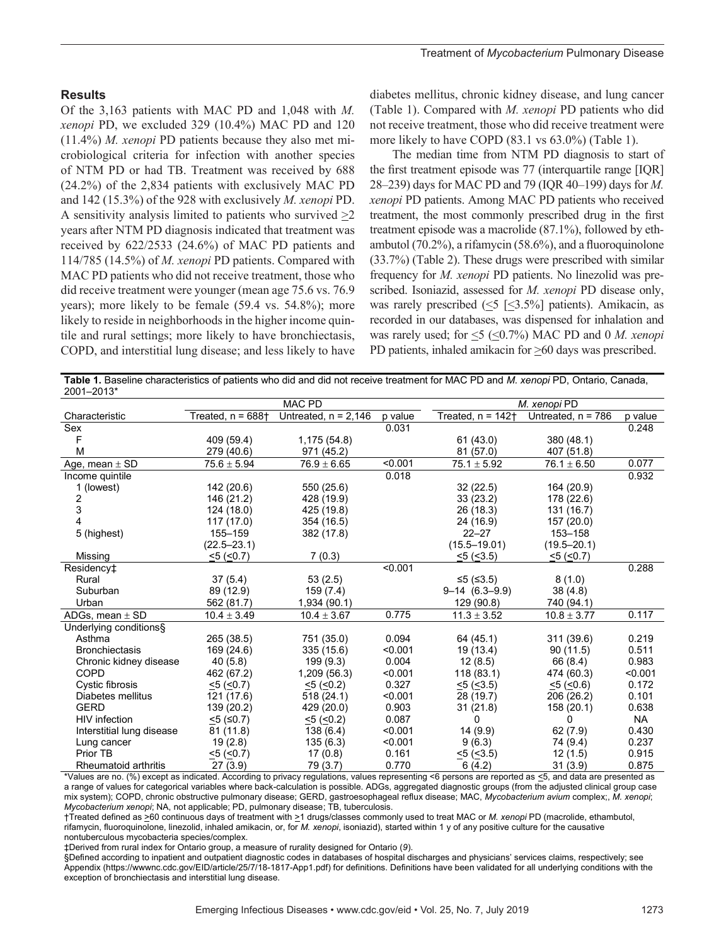#### **Results**

Of the 3,163 patients with MAC PD and 1,048 with *M. xenopi* PD, we excluded 329 (10.4%) MAC PD and 120 (11.4%) *M. xenopi* PD patients because they also met microbiological criteria for infection with another species of NTM PD or had TB. Treatment was received by 688 (24.2%) of the 2,834 patients with exclusively MAC PD and 142 (15.3%) of the 928 with exclusively *M. xenopi* PD. A sensitivity analysis limited to patients who survived  $\geq 2$ years after NTM PD diagnosis indicated that treatment was received by 622/2533 (24.6%) of MAC PD patients and 114/785 (14.5%) of *M. xenopi* PD patients. Compared with MAC PD patients who did not receive treatment, those who did receive treatment were younger (mean age 75.6 vs. 76.9 years); more likely to be female (59.4 vs. 54.8%); more likely to reside in neighborhoods in the higher income quintile and rural settings; more likely to have bronchiectasis, COPD, and interstitial lung disease; and less likely to have

diabetes mellitus, chronic kidney disease, and lung cancer (Table 1). Compared with *M. xenopi* PD patients who did not receive treatment, those who did receive treatment were more likely to have COPD (83.1 vs 63.0%) (Table 1).

The median time from NTM PD diagnosis to start of the first treatment episode was 77 (interquartile range [IQR] 28–239) days for MAC PD and 79 (IQR 40–199) days for *M. xenopi* PD patients. Among MAC PD patients who received treatment, the most commonly prescribed drug in the first treatment episode was a macrolide (87.1%), followed by ethambutol (70.2%), a rifamycin (58.6%), and a fluoroquinolone (33.7%) (Table 2). These drugs were prescribed with similar frequency for *M. xenopi* PD patients. No linezolid was prescribed. Isoniazid, assessed for *M. xenopi* PD disease only, was rarely prescribed  $(5 \leq 3.5\%)$  patients). Amikacin, as recorded in our databases, was dispensed for inhalation and was rarely used; for  $\leq$ 5 ( $\leq$ 0.7%) MAC PD and 0 *M. xenopi* PD patients, inhaled amikacin for >60 days was prescribed.

**Table 1.** Baseline characteristics of patients who did and did not receive treatment for MAC PD and *M. xenopi* PD, Ontario, Canada, 2001–2013\*

| <b>2001–2019</b>          | <b>MAC PD</b>        |                        |         | M. xenopi PD         |                      |           |  |
|---------------------------|----------------------|------------------------|---------|----------------------|----------------------|-----------|--|
| Characteristic            | Treated. $n = 688$ + | Untreated, $n = 2,146$ | p value | Treated. $n = 142 +$ | Untreated, $n = 786$ | p value   |  |
| Sex                       |                      |                        | 0.031   |                      |                      | 0.248     |  |
| F                         | 409 (59.4)           | 1,175(54.8)            |         | 61(43.0)             | 380 (48.1)           |           |  |
| M                         | 279 (40.6)           | 971 (45.2)             |         | 81 (57.0)            | 407 (51.8)           |           |  |
| Age, mean $\pm$ SD        | $75.6 \pm 5.94$      | $76.9 \pm 6.65$        | < 0.001 | $75.1 \pm 5.92$      | $76.1 \pm 6.50$      | 0.077     |  |
| Income quintile           |                      |                        | 0.018   |                      |                      | 0.932     |  |
| 1 (lowest)                | 142 (20.6)           | 550 (25.6)             |         | 32(22.5)             | 164 (20.9)           |           |  |
| 2                         | 146 (21.2)           | 428 (19.9)             |         | 33(23.2)             | 178 (22.6)           |           |  |
| 3                         | 124 (18.0)           | 425 (19.8)             |         | 26 (18.3)            | 131 (16.7)           |           |  |
| 4                         | 117(17.0)            | 354 (16.5)             |         | 24 (16.9)            | 157 (20.0)           |           |  |
| 5 (highest)               | 155-159              | 382 (17.8)             |         | $22 - 27$            | 153-158              |           |  |
|                           | $(22.5 - 23.1)$      |                        |         | $(15.5 - 19.01)$     | $(19.5 - 20.1)$      |           |  |
| Missing                   | $<$ 5 ( $<$ 0.7)     | 7(0.3)                 |         | $<5$ ( $<3.5$ )      | $<$ 5 ( $<$ 0.7)     |           |  |
| Residency <sup>+</sup>    |                      |                        | < 0.001 |                      |                      | 0.288     |  |
| Rural                     | 37(5.4)              | 53(2.5)                |         | ≤5 (≤3.5)            | 8(1.0)               |           |  |
| Suburban                  | 89 (12.9)            | 159 (7.4)              |         | $9-14(6.3-9.9)$      | 38(4.8)              |           |  |
| Urban                     | 562 (81.7)           | 1,934 (90.1)           |         | 129 (90.8)           | 740 (94.1)           |           |  |
| ADGs, mean $\pm$ SD       | $10.4 \pm 3.49$      | $10.4 \pm 3.67$        | 0.775   | $11.3 \pm 3.52$      | $10.8 \pm 3.77$      | 0.117     |  |
| Underlying conditions§    |                      |                        |         |                      |                      |           |  |
| Asthma                    | 265 (38.5)           | 751 (35.0)             | 0.094   | 64 (45.1)            | 311 (39.6)           | 0.219     |  |
| <b>Bronchiectasis</b>     | 169 (24.6)           | 335 (15.6)             | < 0.001 | 19 (13.4)            | 90(11.5)             | 0.511     |  |
| Chronic kidney disease    | 40(5.8)              | 199(9.3)               | 0.004   | 12(8.5)              | 66 (8.4)             | 0.983     |  |
| COPD                      | 462 (67.2)           | 1,209 (56.3)           | < 0.001 | 118(83.1)            | 474 (60.3)           | < 0.001   |  |
| Cystic fibrosis           | $<5$ ( $<0.7$ )      | $\leq$ 5 ( $\leq$ 0.2) | 0.327   | 5(6.3.5)             | $<$ 5 ( $<$ 0.6)     | 0.172     |  |
| Diabetes mellitus         | 121 (17.6)           | 518 (24.1)             | < 0.001 | 28 (19.7)            | 206 (26.2)           | 0.101     |  |
| <b>GERD</b>               | 139 (20.2)           | 429 (20.0)             | 0.903   | 31(21.8)             | 158 (20.1)           | 0.638     |  |
| HIV infection             | $<$ 5 (≤0.7)         | $<$ 5 ( $<$ 0.2)       | 0.087   | 0                    | 0                    | <b>NA</b> |  |
| Interstitial lung disease | 81 (11.8)            | 138(6.4)               | < 0.001 | 14(9.9)              | 62(7.9)              | 0.430     |  |
| Lung cancer               | 19(2.8)              | 135(6.3)               | < 0.001 | 9(6.3)               | 74 (9.4)             | 0.237     |  |
| Prior TB                  | $<$ 5 ( $<$ 0.7)     | 17(0.8)                | 0.161   | $<5$ ( $<3.5$ )      | 12(1.5)              | 0.915     |  |
| Rheumatoid arthritis      | 27(3.9)              | 79 (3.7)               | 0.770   | 6(4.2)               | 31(3.9)              | 0.875     |  |

Values are no. (%) except as indicated. According to privacy regulations, values representing <6 persons are reported as <u><</u>5, and data are presented as a range of values for categorical variables where back-calculation is possible. ADGs, aggregated diagnostic groups (from the adjusted clinical group case mix system); COPD, chronic obstructive pulmonary disease; GERD, gastroesophageal reflux disease; MAC, *Mycobacterium avium* complex;, *M. xenopi*; *Mycobacterium xenopi*; NA, not applicable; PD, pulmonary disease; TB, tuberculosis.

†Treated defined as >60 continuous days of treatment with >1 drugs/classes commonly used to treat MAC or *M. xenopi* PD (macrolide, ethambutol, rifamycin, fluoroquinolone, linezolid, inhaled amikacin, or, for *M. xenopi*, isoniazid), started within 1 y of any positive culture for the causative nontuberculous mycobacteria species/complex.

‡Derived from rural index for Ontario group, a measure of rurality designed for Ontario (*9*).

§Defined according to inpatient and outpatient diagnostic codes in databases of hospital discharges and physicians' services claims, respectively; see Appendix (https://wwwnc.cdc.gov/EID/article/25/7/18-1817-App1.pdf) for definitions. Definitions have been validated for all underlying conditions with the exception of bronchiectasis and interstitial lung disease.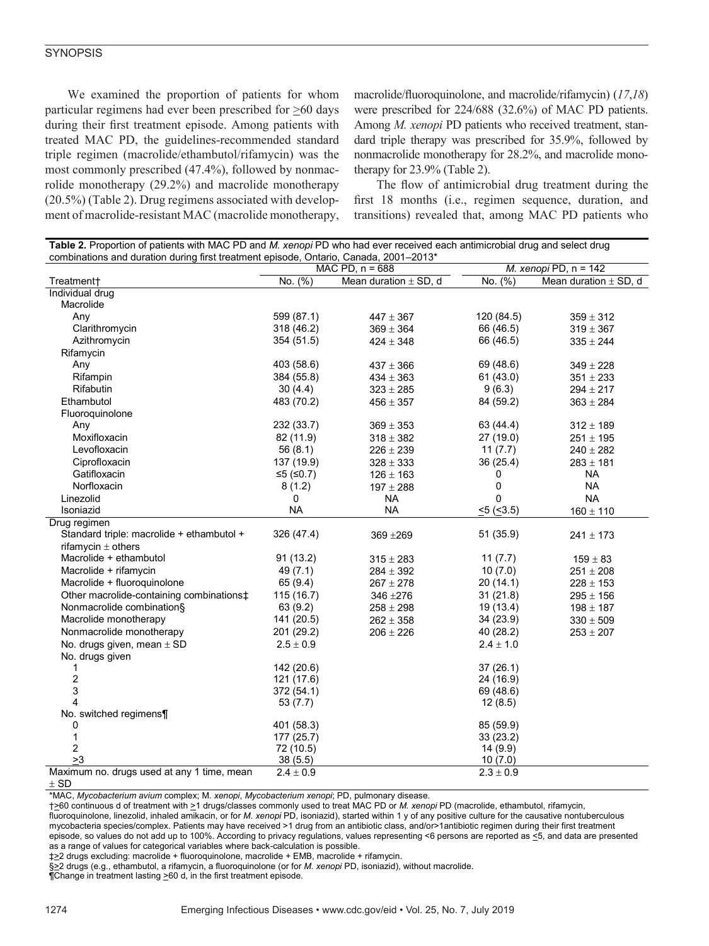We examined the proportion of patients for whom particular regimens had ever been prescribed for >60 days during their first treatment episode. Among patients with treated MAC PD, the guidelines-recommended standard triple regimen (macrolide/ethambutol/rifamycin) was the most commonly prescribed (47.4%), followed by nonmacrolide monotherapy (29.2%) and macrolide monotherapy (20.5%) (Table 2). Drug regimens associated with development of macrolide-resistant MAC (macrolide monotherapy,

macrolide/fluoroquinolone, and macrolide/rifamycin) (*17*,*18*) were prescribed for 224/688 (32.6%) of MAC PD patients. Among *M. xenopi* PD patients who received treatment, standard triple therapy was prescribed for 35.9%, followed by nonmacrolide monotherapy for 28.2%, and macrolide monotherapy for 23.9% (Table 2).

The flow of antimicrobial drug treatment during the first 18 months (i.e., regimen sequence, duration, and transitions) revealed that, among MAC PD patients who

| Table 2. Proportion of patients with MAC PD and M. xenopi PD who had ever received each antimicrobial drug and select drug |                   |                           |               |                           |  |  |
|----------------------------------------------------------------------------------------------------------------------------|-------------------|---------------------------|---------------|---------------------------|--|--|
| combinations and duration during first treatment episode, Ontario, Canada, 2001-2013*                                      |                   |                           |               |                           |  |  |
|                                                                                                                            | MAC PD, $n = 688$ |                           |               | M. xenopi PD, $n = 142$   |  |  |
| Treatment+                                                                                                                 | No. (%)           | Mean duration $\pm$ SD, d | No. (%)       | Mean duration $\pm$ SD, d |  |  |
| Individual drug<br>Macrolide                                                                                               |                   |                           |               |                           |  |  |
| Any                                                                                                                        | 599 (87.1)        |                           | 120 (84.5)    |                           |  |  |
|                                                                                                                            |                   | $447 \pm 367$             |               | $359 \pm 312$             |  |  |
| Clarithromycin                                                                                                             | 318 (46.2)        | $369 \pm 364$             | 66 (46.5)     | $319 \pm 367$             |  |  |
| Azithromycin                                                                                                               | 354 (51.5)        | $424 \pm 348$             | 66 (46.5)     | $335 \pm 244$             |  |  |
| Rifamycin                                                                                                                  |                   |                           |               |                           |  |  |
| Any                                                                                                                        | 403 (58.6)        | $437 \pm 366$             | 69 (48.6)     | $349 \pm 228$             |  |  |
| Rifampin                                                                                                                   | 384 (55.8)        | $434 \pm 363$             | 61(43.0)      | $351 \pm 233$             |  |  |
| Rifabutin                                                                                                                  | 30(4.4)           | $323 \pm 285$             | 9(6.3)        | $294 \pm 217$             |  |  |
| Ethambutol                                                                                                                 | 483 (70.2)        | $456 \pm 357$             | 84 (59.2)     | $363 \pm 284$             |  |  |
| Fluoroquinolone                                                                                                            |                   |                           |               |                           |  |  |
| Any                                                                                                                        | 232 (33.7)        | $369 \pm 353$             | 63 (44.4)     | $312 \pm 189$             |  |  |
| Moxifloxacin                                                                                                               | 82 (11.9)         | $318 \pm 382$             | 27 (19.0)     | $251 \pm 195$             |  |  |
| Levofloxacin                                                                                                               | 56(8.1)           | $226 \pm 239$             | 11(7.7)       | $240 \pm 282$             |  |  |
| Ciprofloxacin                                                                                                              | 137 (19.9)        | $328 \pm 333$             | 36 (25.4)     | $283 \pm 181$             |  |  |
| Gatifloxacin                                                                                                               | $≤5$ (≤0.7)       | $126 \pm 163$             | 0             | <b>NA</b>                 |  |  |
| Norfloxacin                                                                                                                | 8(1.2)            | $197 \pm 288$             | 0             | <b>NA</b>                 |  |  |
| Linezolid                                                                                                                  | 0                 | NA.                       | 0             | <b>NA</b>                 |  |  |
| Isoniazid                                                                                                                  | <b>NA</b>         | <b>NA</b>                 | 5(5(5.3.5))   | $160 \pm 110$             |  |  |
| Drug regimen                                                                                                               |                   |                           |               |                           |  |  |
| Standard triple: macrolide + ethambutol +                                                                                  | 326 (47.4)        | 369 ± 269                 | 51 (35.9)     | $241 \pm 173$             |  |  |
| rifamycin $\pm$ others                                                                                                     |                   |                           |               |                           |  |  |
| Macrolide + ethambutol                                                                                                     | 91 (13.2)         | $315 \pm 283$             | 11(7.7)       | $159 \pm 83$              |  |  |
| Macrolide + rifamycin                                                                                                      | 49 (7.1)          | $284 \pm 392$             | 10(7.0)       | $251 \pm 208$             |  |  |
| Macrolide + fluoroquinolone                                                                                                | 65 (9.4)          | $267 \pm 278$             | 20(14.1)      | $228 \pm 153$             |  |  |
| Other macrolide-containing combinations <sup>+</sup>                                                                       | 115(16.7)         | 346 ± 276                 | 31(21.8)      | $295 \pm 156$             |  |  |
| Nonmacrolide combination§                                                                                                  | 63 (9.2)          | $258 \pm 298$             | 19 (13.4)     | $198 \pm 187$             |  |  |
| Macrolide monotherapy                                                                                                      | 141 (20.5)        | $262 \pm 358$             | 34 (23.9)     | $330\pm509$               |  |  |
| Nonmacrolide monotherapy                                                                                                   | 201 (29.2)        | $206 \pm 226$             | 40 (28.2)     | $253 \pm 207$             |  |  |
| No. drugs given, mean $\pm$ SD                                                                                             | $2.5 \pm 0.9$     |                           | $2.4 \pm 1.0$ |                           |  |  |
| No. drugs given                                                                                                            |                   |                           |               |                           |  |  |
| 1                                                                                                                          | 142 (20.6)        |                           | 37(26.1)      |                           |  |  |
| $\boldsymbol{2}$                                                                                                           | 121 (17.6)        |                           | 24 (16.9)     |                           |  |  |
| 3                                                                                                                          | 372 (54.1)        |                           | 69 (48.6)     |                           |  |  |
| 4                                                                                                                          | 53(7.7)           |                           | 12(8.5)       |                           |  |  |
| No. switched regimens¶                                                                                                     |                   |                           |               |                           |  |  |
| 0                                                                                                                          | 401 (58.3)        |                           | 85 (59.9)     |                           |  |  |
| $\mathbf{1}$                                                                                                               | 177 (25.7)        |                           | 33 (23.2)     |                           |  |  |
| $\overline{2}$                                                                                                             | 72 (10.5)         |                           | 14 (9.9)      |                           |  |  |
| >3                                                                                                                         | 38(5.5)           |                           | 10(7.0)       |                           |  |  |
| Maximum no. drugs used at any 1 time, mean                                                                                 | $2.4 \pm 0.9$     |                           | $2.3 \pm 0.9$ |                           |  |  |

 $\pm$  SD

\*MAC, *Mycobacterium avium* complex; M*. xenopi*, *Mycobacterium xenopi*; PD, pulmonary disease.

†>60 continuous d of treatment with >1 drugs/classes commonly used to treat MAC PD or *M. xenopi* PD (macrolide, ethambutol, rifamycin, fluoroquinolone, linezolid, inhaled amikacin, or for *M. xenopi* PD, isoniazid), started within 1 y of any positive culture for the causative nontuberculous mycobacteria species/complex. Patients may have received >1 drug from an antibiotic class, and/or>1antibiotic regimen during their first treatment episode, so values do not add up to 100%. According to privacy regulations, values representing <6 persons are reported as  $\leq$ 5, and data are presented as a range of values for categorical variables where back-calculation is possible.

‡>2 drugs excluding: macrolide + fluoroquinolone, macrolide + EMB, macrolide + rifamycin.

§>2 drugs (e.g., ethambutol, a rifamycin, a fluoroquinolone (or for *M. xenopi* PD, isoniazid), without macrolide.

¶Change in treatment lasting >60 d, in the first treatment episode.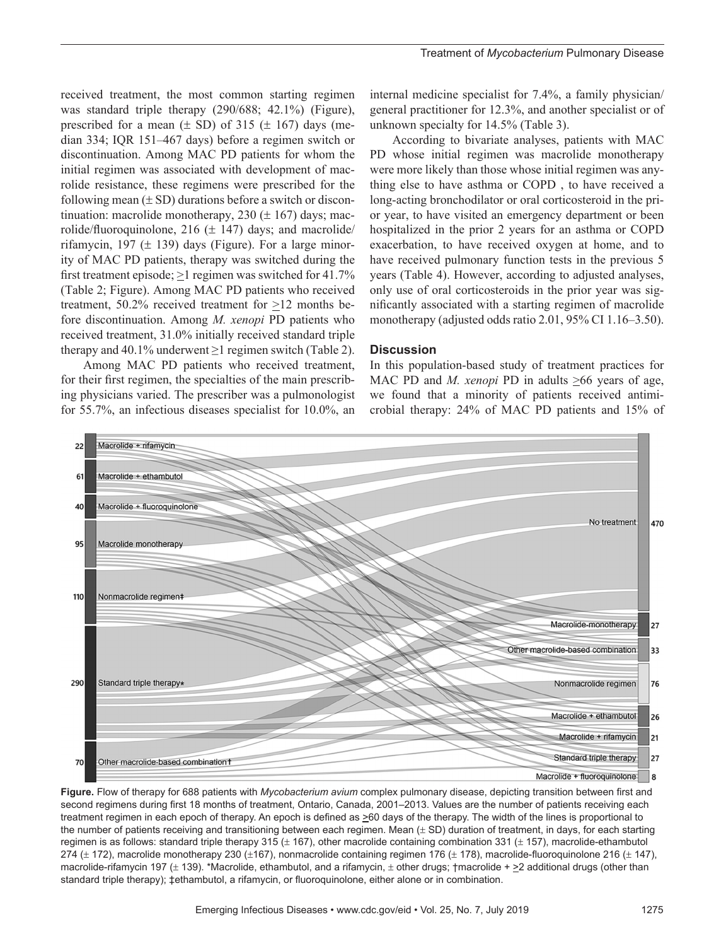received treatment, the most common starting regimen was standard triple therapy (290/688; 42.1%) (Figure), prescribed for a mean  $(\pm SD)$  of 315  $(\pm 167)$  days (median 334; IQR 151–467 days) before a regimen switch or discontinuation. Among MAC PD patients for whom the initial regimen was associated with development of macrolide resistance, these regimens were prescribed for the following mean  $(\pm SD)$  durations before a switch or discontinuation: macrolide monotherapy,  $230 (\pm 167)$  days; macrolide/fluoroquinolone, 216 ( $\pm$  147) days; and macrolide/ rifamycin, 197 ( $\pm$  139) days (Figure). For a large minority of MAC PD patients, therapy was switched during the first treatment episode;  $\geq 1$  regimen was switched for 41.7% (Table 2; Figure). Among MAC PD patients who received treatment, 50.2% received treatment for >12 months before discontinuation. Among *M. xenopi* PD patients who received treatment, 31.0% initially received standard triple therapy and 40.1% underwent  $\geq 1$  regimen switch (Table 2).

Among MAC PD patients who received treatment, for their first regimen, the specialties of the main prescribing physicians varied. The prescriber was a pulmonologist for 55.7%, an infectious diseases specialist for 10.0%, an

internal medicine specialist for 7.4%, a family physician/ general practitioner for 12.3%, and another specialist or of unknown specialty for 14.5% (Table 3).

According to bivariate analyses, patients with MAC PD whose initial regimen was macrolide monotherapy were more likely than those whose initial regimen was anything else to have asthma or COPD , to have received a long-acting bronchodilator or oral corticosteroid in the prior year, to have visited an emergency department or been hospitalized in the prior 2 years for an asthma or COPD exacerbation, to have received oxygen at home, and to have received pulmonary function tests in the previous 5 years (Table 4). However, according to adjusted analyses, only use of oral corticosteroids in the prior year was significantly associated with a starting regimen of macrolide monotherapy (adjusted odds ratio 2.01, 95% CI 1.16–3.50).

#### **Discussion**

In this population-based study of treatment practices for MAC PD and *M. xenopi* PD in adults >66 years of age, we found that a minority of patients received antimicrobial therapy: 24% of MAC PD patients and 15% of



**Figure.** Flow of therapy for 688 patients with *Mycobacterium avium* complex pulmonary disease, depicting transition between first and second regimens during first 18 months of treatment, Ontario, Canada, 2001–2013. Values are the number of patients receiving each treatment regimen in each epoch of therapy. An epoch is defined as  $\geq 60$  days of the therapy. The width of the lines is proportional to the number of patients receiving and transitioning between each regimen. Mean ( $\pm$  SD) duration of treatment, in days, for each starting regimen is as follows: standard triple therapy 315  $(\pm 167)$ , other macrolide containing combination 331  $(\pm 157)$ , macrolide-ethambutol 274 ( $\pm$  172), macrolide monotherapy 230 ( $\pm$ 167), nonmacrolide containing regimen 176 ( $\pm$  178), macrolide-fluoroquinolone 216 ( $\pm$  147), macrolide-rifamycin 197 (± 139). \*Macrolide, ethambutol, and a rifamycin, ± other drugs; †macrolide + ≥2 additional drugs (other than standard triple therapy);  $\pm$ ethambutol, a rifamycin, or fluoroquinolone, either alone or in combination.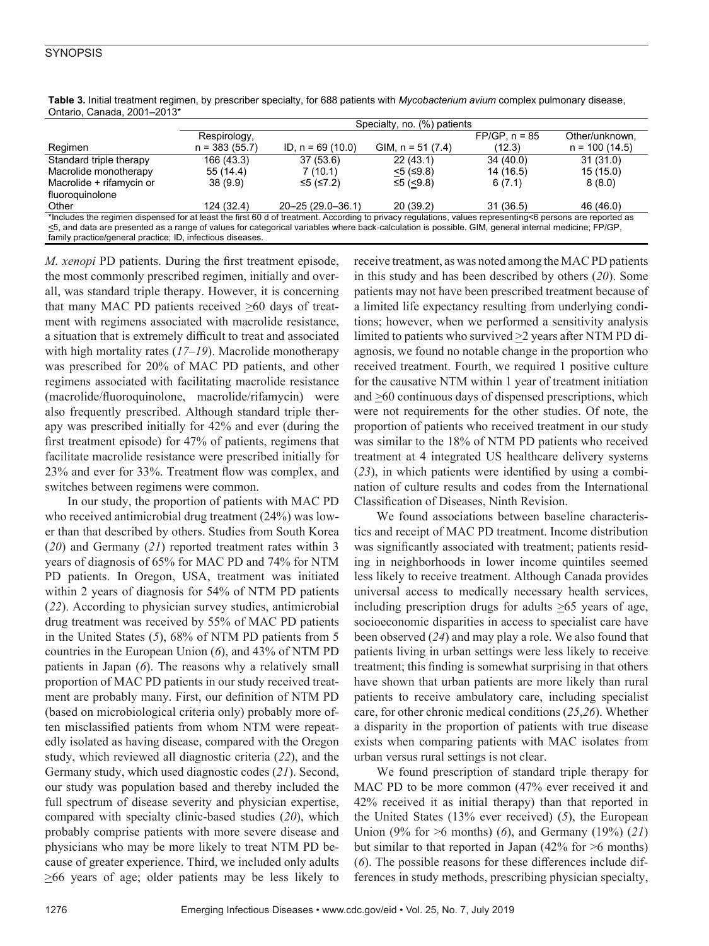|                                                                                                                                                           | Specialty, no. (%) patients |                        |                     |                 |                 |  |
|-----------------------------------------------------------------------------------------------------------------------------------------------------------|-----------------------------|------------------------|---------------------|-----------------|-----------------|--|
|                                                                                                                                                           | Respirology,                |                        |                     | $FP/GP, n = 85$ | Other/unknown.  |  |
| Regimen                                                                                                                                                   | $n = 383(55.7)$             | ID, $n = 69(10.0)$     | GIM, $n = 51 (7.4)$ | (12.3)          | $n = 100(14.5)$ |  |
| Standard triple therapy                                                                                                                                   | 166 (43.3)                  | 37(53.6)               | 22(43.1)            | 34(40.0)        | 31(31.0)        |  |
| Macrolide monotherapy                                                                                                                                     | 55 (14.4)                   | 7(10.1)                | $<$ 5 (≤9.8)        | 14 (16.5)       | 15(15.0)        |  |
| Macrolide + rifamycin or                                                                                                                                  | 38(9.9)                     | ≤5 (≤7.2)              | ≤5 (<9.8)           | 6(7.1)          | 8(8.0)          |  |
| fluoroquinolone                                                                                                                                           |                             |                        |                     |                 |                 |  |
| Other                                                                                                                                                     | 124 (32.4)                  | $20 - 25(29.0 - 36.1)$ | 20(39.2)            | 31(36.5)        | 46 (46.0)       |  |
| *Includes the regimen dispensed for at least the first 60 d of treatment. According to privacy regulations, values representing<6 persons are reported as |                             |                        |                     |                 |                 |  |
| <5, and data are presented as a range of values for categorical variables where back-calculation is possible. GIM, general internal medicine; FP/GP,      |                             |                        |                     |                 |                 |  |
| family practice/general practice; ID, infectious diseases.                                                                                                |                             |                        |                     |                 |                 |  |

**Table 3.** Initial treatment regimen, by prescriber specialty, for 688 patients with *Mycobacterium avium* complex pulmonary disease, Ontario, Canada, 2001–2013\*

*M. xenopi* PD patients. During the first treatment episode, the most commonly prescribed regimen, initially and overall, was standard triple therapy. However, it is concerning that many MAC PD patients received  $\geq 60$  days of treatment with regimens associated with macrolide resistance, a situation that is extremely difficult to treat and associated with high mortality rates (*17*–*19*). Macrolide monotherapy was prescribed for 20% of MAC PD patients, and other regimens associated with facilitating macrolide resistance (macrolide/fluoroquinolone, macrolide/rifamycin) were also frequently prescribed. Although standard triple therapy was prescribed initially for 42% and ever (during the first treatment episode) for 47% of patients, regimens that facilitate macrolide resistance were prescribed initially for 23% and ever for 33%. Treatment flow was complex, and switches between regimens were common.

In our study, the proportion of patients with MAC PD who received antimicrobial drug treatment (24%) was lower than that described by others. Studies from South Korea (*20*) and Germany (*21*) reported treatment rates within 3 years of diagnosis of 65% for MAC PD and 74% for NTM PD patients. In Oregon, USA, treatment was initiated within 2 years of diagnosis for 54% of NTM PD patients (*22*). According to physician survey studies, antimicrobial drug treatment was received by 55% of MAC PD patients in the United States (*5*), 68% of NTM PD patients from 5 countries in the European Union (*6*), and 43% of NTM PD patients in Japan (*6*). The reasons why a relatively small proportion of MAC PD patients in our study received treatment are probably many. First, our definition of NTM PD (based on microbiological criteria only) probably more often misclassified patients from whom NTM were repeatedly isolated as having disease, compared with the Oregon study, which reviewed all diagnostic criteria (*22*), and the Germany study, which used diagnostic codes (*21*). Second, our study was population based and thereby included the full spectrum of disease severity and physician expertise, compared with specialty clinic-based studies (*20*), which probably comprise patients with more severe disease and physicians who may be more likely to treat NTM PD because of greater experience. Third, we included only adults  $\geq 66$  years of age; older patients may be less likely to

receive treatment, as was noted among the MAC PD patients in this study and has been described by others (*20*). Some patients may not have been prescribed treatment because of a limited life expectancy resulting from underlying conditions; however, when we performed a sensitivity analysis limited to patients who survived  $\geq$  years after NTM PD diagnosis, we found no notable change in the proportion who received treatment. Fourth, we required 1 positive culture for the causative NTM within 1 year of treatment initiation and  $\geq$ 60 continuous days of dispensed prescriptions, which were not requirements for the other studies. Of note, the proportion of patients who received treatment in our study was similar to the 18% of NTM PD patients who received treatment at 4 integrated US healthcare delivery systems (*23*), in which patients were identified by using a combination of culture results and codes from the International Classification of Diseases, Ninth Revision.

We found associations between baseline characteristics and receipt of MAC PD treatment. Income distribution was significantly associated with treatment; patients residing in neighborhoods in lower income quintiles seemed less likely to receive treatment. Although Canada provides universal access to medically necessary health services, including prescription drugs for adults  $\geq 65$  years of age, socioeconomic disparities in access to specialist care have been observed (*24*) and may play a role. We also found that patients living in urban settings were less likely to receive treatment; this finding is somewhat surprising in that others have shown that urban patients are more likely than rural patients to receive ambulatory care, including specialist care, for other chronic medical conditions (*25*,*26*). Whether a disparity in the proportion of patients with true disease exists when comparing patients with MAC isolates from urban versus rural settings is not clear.

We found prescription of standard triple therapy for MAC PD to be more common (47% ever received it and 42% received it as initial therapy) than that reported in the United States (13% ever received) (*5*), the European Union (9% for >6 months) (*6*), and Germany (19%) (*21*) but similar to that reported in Japan  $(42\%$  for  $\geq 6$  months) (*6*). The possible reasons for these differences include differences in study methods, prescribing physician specialty,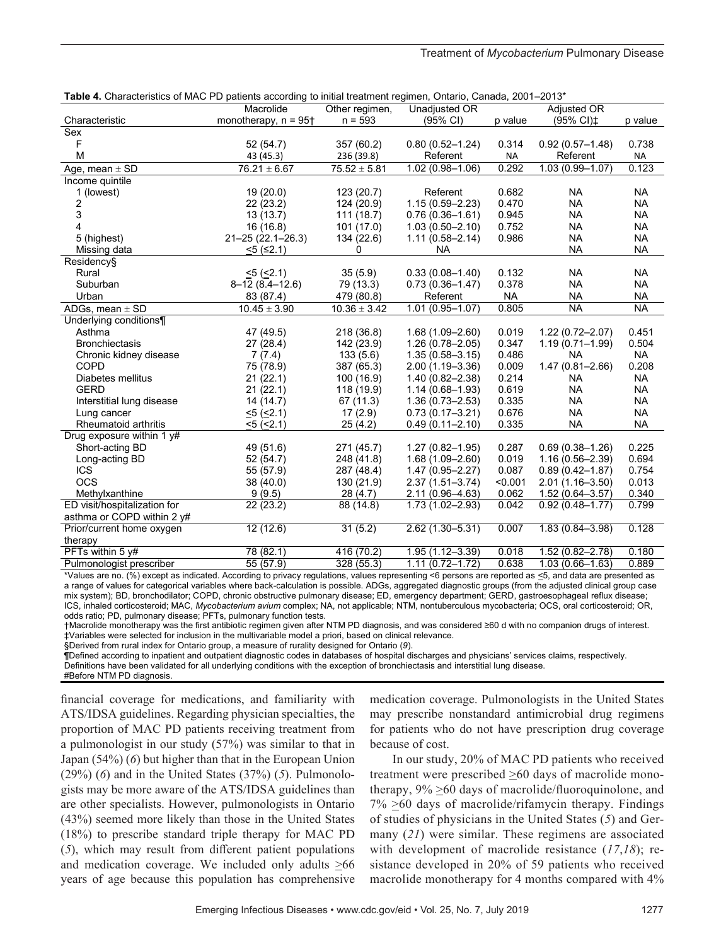| <b>Table 4.</b> Gridiacteristics of MAC PD patients according to initial treatment regiment, Ontaho, Canada, 2001–2013 |                                    |                  |                     |           |                                      |           |
|------------------------------------------------------------------------------------------------------------------------|------------------------------------|------------------|---------------------|-----------|--------------------------------------|-----------|
|                                                                                                                        | Macrolide                          | Other regimen,   | Unadjusted OR       |           | Adjusted OR                          |           |
| Characteristic                                                                                                         | monotherapy, $n = 95$ <sup>+</sup> | $n = 593$        | $(95% \text{ Cl})$  | p value   | (95% CI) <sup><math>\pm</math></sup> | p value   |
| Sex                                                                                                                    |                                    |                  |                     |           |                                      |           |
| F                                                                                                                      | 52 (54.7)                          | 357 (60.2)       | $0.80(0.52 - 1.24)$ | 0.314     | $0.92(0.57 - 1.48)$                  | 0.738     |
| M                                                                                                                      | 43 (45.3)                          | 236 (39.8)       | Referent            | <b>NA</b> | Referent                             | <b>NA</b> |
| Age, mean $\pm$ SD                                                                                                     | $76.21 \pm 6.67$                   | $75.52 \pm 5.81$ | $1.02(0.98 - 1.06)$ | 0.292     | $1.03(0.99 - 1.07)$                  | 0.123     |
| Income quintile                                                                                                        |                                    |                  |                     |           |                                      |           |
| 1 (lowest)                                                                                                             | 19(20.0)                           | 123(20.7)        | Referent            | 0.682     | <b>NA</b>                            | <b>NA</b> |
| 2                                                                                                                      | 22(23.2)                           | 124 (20.9)       | $1.15(0.59 - 2.23)$ | 0.470     | <b>NA</b>                            | <b>NA</b> |
| 3                                                                                                                      | 13(13.7)                           | 111(18.7)        | $0.76(0.36 - 1.61)$ | 0.945     | <b>NA</b>                            | <b>NA</b> |
| 4                                                                                                                      | 16(16.8)                           | 101(17.0)        | $1.03(0.50 - 2.10)$ | 0.752     | <b>NA</b>                            | <b>NA</b> |
| 5 (highest)                                                                                                            | $21 - 25(22.1 - 26.3)$             | 134 (22.6)       | $1.11(0.58 - 2.14)$ | 0.986     | NA                                   | <b>NA</b> |
| Missing data                                                                                                           | $5$ (≤2.1)                         | 0                | <b>NA</b>           |           | <b>NA</b>                            | <b>NA</b> |
| Residency§                                                                                                             |                                    |                  |                     |           |                                      |           |
| Rural                                                                                                                  | $<5$ ( $<2.1$ )                    | 35(5.9)          | $0.33(0.08 - 1.40)$ | 0.132     | <b>NA</b>                            | <b>NA</b> |
| Suburban                                                                                                               | $8-12(8.4-12.6)$                   | 79 (13.3)        | $0.73(0.36 - 1.47)$ | 0.378     | <b>NA</b>                            | <b>NA</b> |
| Urban                                                                                                                  | 83 (87.4)                          | 479 (80.8)       | Referent            | <b>NA</b> | <b>NA</b>                            | <b>NA</b> |
| ADGs, mean $\pm$ SD                                                                                                    | $10.45 \pm 3.90$                   | $10.36 \pm 3.42$ | $1.01(0.95 - 1.07)$ | 0.805     | <b>NA</b>                            | <b>NA</b> |
| Underlying conditions¶                                                                                                 |                                    |                  |                     |           |                                      |           |
| Asthma                                                                                                                 | 47 (49.5)                          | 218 (36.8)       | $1.68(1.09 - 2.60)$ | 0.019     | $1.22(0.72 - 2.07)$                  | 0.451     |
| <b>Bronchiectasis</b>                                                                                                  | 27(28.4)                           | 142 (23.9)       | $1.26(0.78 - 2.05)$ | 0.347     | $1.19(0.71 - 1.99)$                  | 0.504     |
| Chronic kidney disease                                                                                                 | 7(7.4)                             | 133(5.6)         | $1.35(0.58 - 3.15)$ | 0.486     | <b>NA</b>                            | <b>NA</b> |
| <b>COPD</b>                                                                                                            | 75 (78.9)                          | 387 (65.3)       | $2.00(1.19 - 3.36)$ | 0.009     | $1.47(0.81 - 2.66)$                  | 0.208     |
| Diabetes mellitus                                                                                                      | 21(22.1)                           | 100 (16.9)       | $1.40(0.82 - 2.38)$ | 0.214     | <b>NA</b>                            | <b>NA</b> |
| <b>GERD</b>                                                                                                            | 21(22.1)                           | 118 (19.9)       | $1.14(0.68 - 1.93)$ | 0.619     | <b>NA</b>                            | <b>NA</b> |
| Interstitial lung disease                                                                                              | 14 (14.7)                          | 67 (11.3)        | $1.36(0.73 - 2.53)$ | 0.335     | <b>NA</b>                            | <b>NA</b> |
| Lung cancer                                                                                                            | $<5$ ( $<2.1$ )                    | 17(2.9)          | $0.73(0.17 - 3.21)$ | 0.676     | <b>NA</b>                            | <b>NA</b> |
| Rheumatoid arthritis                                                                                                   | $<5$ ( $<2.1$ )                    | 25(4.2)          | $0.49(0.11 - 2.10)$ | 0.335     | <b>NA</b>                            | <b>NA</b> |
| Drug exposure within 1 y#                                                                                              |                                    |                  |                     |           |                                      |           |
| Short-acting BD                                                                                                        | 49 (51.6)                          | 271 (45.7)       | $1.27(0.82 - 1.95)$ | 0.287     | $0.69(0.38 - 1.26)$                  | 0.225     |
| Long-acting BD                                                                                                         | 52 (54.7)                          | 248 (41.8)       | $1.68(1.09 - 2.60)$ | 0.019     | $1.16(0.56 - 2.39)$                  | 0.694     |
| <b>ICS</b>                                                                                                             | 55 (57.9)                          | 287 (48.4)       | $1.47(0.95 - 2.27)$ | 0.087     | $0.89(0.42 - 1.87)$                  | 0.754     |
| <b>OCS</b>                                                                                                             | 38 (40.0)                          | 130 (21.9)       | $2.37(1.51 - 3.74)$ | < 0.001   | $2.01(1.16 - 3.50)$                  | 0.013     |
| Methylxanthine                                                                                                         | 9(9.5)                             | 28(4.7)          | $2.11(0.96 - 4.63)$ | 0.062     | $1.52(0.64 - 3.57)$                  | 0.340     |
| ED visit/hospitalization for                                                                                           | 22 (23.2)                          | 88 (14.8)        | $1.73(1.02 - 2.93)$ | 0.042     | $0.92(0.48 - 1.77)$                  | 0.799     |
| asthma or COPD within 2 y#                                                                                             |                                    |                  |                     |           |                                      |           |
| Prior/current home oxygen                                                                                              | 12(12.6)                           | 31(5.2)          | 2.62 (1.30-5.31)    | 0.007     | $1.83(0.84 - 3.98)$                  | 0.128     |
| therapy                                                                                                                |                                    |                  |                     |           |                                      |           |
| PFTs within 5 y#                                                                                                       | 78 (82.1)                          | 416 (70.2)       | 1.95 (1.12-3.39)    | 0.018     | 1.52 (0.82-2.78)                     | 0.180     |
| Pulmonologist prescriber                                                                                               | 55 (57.9)                          | 328 (55.3)       | $1.11(0.72 - 1.72)$ | 0.638     | $1.03(0.66 - 1.63)$                  | 0.889     |

| <b>Table 4.</b> Characteristics of MAC PD patients according to initial treatment regimen, Ontario, Canada, 2001–2013 <sup>*</sup> |  |  |  |
|------------------------------------------------------------------------------------------------------------------------------------|--|--|--|
|------------------------------------------------------------------------------------------------------------------------------------|--|--|--|

\*Values are no. (%) except as indicated. According to privacy regulations, values representing <6 persons are reported as <5, and data are presented as a range of values for categorical variables where back-calculation is possible. ADGs, aggregated diagnostic groups (from the adjusted clinical group case mix system); BD, bronchodilator; COPD, chronic obstructive pulmonary disease; ED, emergency department; GERD, gastroesophageal reflux disease; ICS, inhaled corticosteroid; MAC, *Mycobacterium avium* complex; NA, not applicable; NTM, nontuberculous mycobacteria; OCS, oral corticosteroid; OR, odds ratio; PD, pulmonary disease; PFTs, pulmonary function tests.

†Macrolide monotherapy was the first antibiotic regimen given after NTM PD diagnosis, and was considered ≥60 d with no companion drugs of interest. ‡Variables were selected for inclusion in the multivariable model a priori, based on clinical relevance.

§Derived from rural index for Ontario group, a measure of rurality designed for Ontario (*9*).

¶Defined according to inpatient and outpatient diagnostic codes in databases of hospital discharges and physicians' services claims, respectively.

Definitions have been validated for all underlying conditions with the exception of bronchiectasis and interstitial lung disease.

#Before NTM PD diagnosis.

financial coverage for medications, and familiarity with ATS/IDSA guidelines. Regarding physician specialties, the proportion of MAC PD patients receiving treatment from a pulmonologist in our study (57%) was similar to that in Japan (54%) (*6*) but higher than that in the European Union (29%) (*6*) and in the United States (37%) (*5*). Pulmonologists may be more aware of the ATS/IDSA guidelines than are other specialists. However, pulmonologists in Ontario (43%) seemed more likely than those in the United States (18%) to prescribe standard triple therapy for MAC PD (*5*), which may result from different patient populations and medication coverage. We included only adults  $\geq 66$ years of age because this population has comprehensive

medication coverage. Pulmonologists in the United States may prescribe nonstandard antimicrobial drug regimens for patients who do not have prescription drug coverage because of cost.

In our study, 20% of MAC PD patients who received treatment were prescribed >60 days of macrolide monotherapy,  $9\% \geq 60$  days of macrolide/fluoroquinolone, and 7% >60 days of macrolide/rifamycin therapy. Findings of studies of physicians in the United States (*5*) and Germany (*21*) were similar. These regimens are associated with development of macrolide resistance (*17*,*18*); resistance developed in 20% of 59 patients who received macrolide monotherapy for 4 months compared with 4%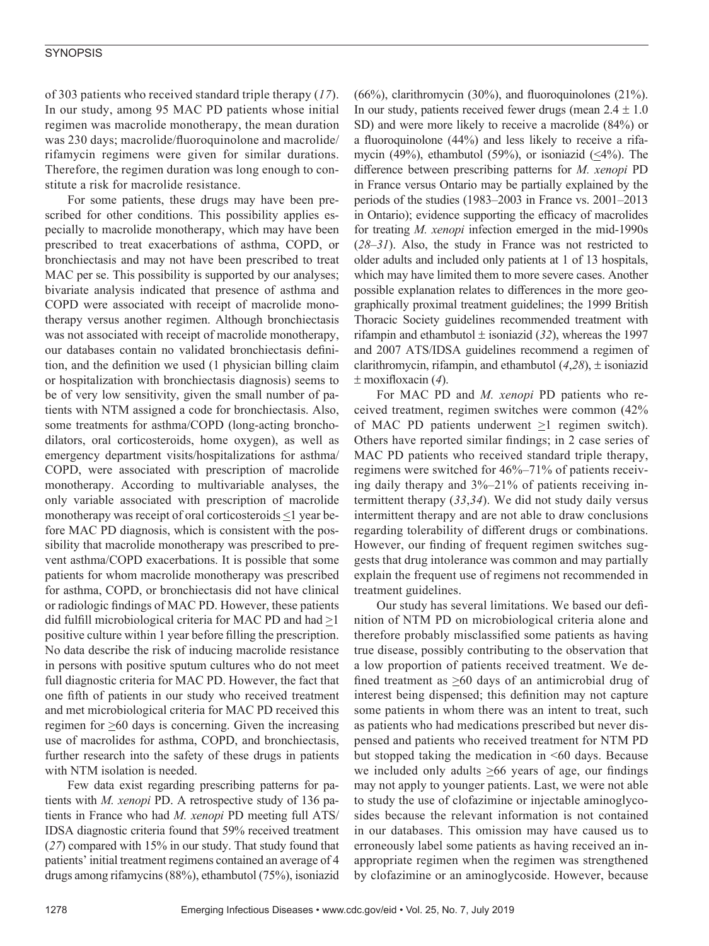of 303 patients who received standard triple therapy (*17*). In our study, among 95 MAC PD patients whose initial regimen was macrolide monotherapy, the mean duration was 230 days; macrolide/fluoroquinolone and macrolide/ rifamycin regimens were given for similar durations. Therefore, the regimen duration was long enough to constitute a risk for macrolide resistance.

For some patients, these drugs may have been prescribed for other conditions. This possibility applies especially to macrolide monotherapy, which may have been prescribed to treat exacerbations of asthma, COPD, or bronchiectasis and may not have been prescribed to treat MAC per se. This possibility is supported by our analyses; bivariate analysis indicated that presence of asthma and COPD were associated with receipt of macrolide monotherapy versus another regimen. Although bronchiectasis was not associated with receipt of macrolide monotherapy, our databases contain no validated bronchiectasis definition, and the definition we used (1 physician billing claim or hospitalization with bronchiectasis diagnosis) seems to be of very low sensitivity, given the small number of patients with NTM assigned a code for bronchiectasis. Also, some treatments for asthma/COPD (long-acting bronchodilators, oral corticosteroids, home oxygen), as well as emergency department visits/hospitalizations for asthma/ COPD, were associated with prescription of macrolide monotherapy. According to multivariable analyses, the only variable associated with prescription of macrolide monotherapy was receipt of oral corticosteroids  $\leq$ l year before MAC PD diagnosis, which is consistent with the possibility that macrolide monotherapy was prescribed to prevent asthma/COPD exacerbations. It is possible that some patients for whom macrolide monotherapy was prescribed for asthma, COPD, or bronchiectasis did not have clinical or radiologic findings of MAC PD. However, these patients did fulfill microbiological criteria for MAC PD and had >1 positive culture within 1 year before filling the prescription. No data describe the risk of inducing macrolide resistance in persons with positive sputum cultures who do not meet full diagnostic criteria for MAC PD. However, the fact that one fifth of patients in our study who received treatment and met microbiological criteria for MAC PD received this regimen for >60 days is concerning. Given the increasing use of macrolides for asthma, COPD, and bronchiectasis, further research into the safety of these drugs in patients with NTM isolation is needed.

Few data exist regarding prescribing patterns for patients with *M. xenopi* PD. A retrospective study of 136 patients in France who had *M. xenopi* PD meeting full ATS/ IDSA diagnostic criteria found that 59% received treatment (*27*) compared with 15% in our study. That study found that patients' initial treatment regimens contained an average of 4 drugs among rifamycins (88%), ethambutol (75%), isoniazid

(66%), clarithromycin (30%), and fluoroquinolones (21%). In our study, patients received fewer drugs (mean  $2.4 \pm 1.0$ SD) and were more likely to receive a macrolide (84%) or a fluoroquinolone (44%) and less likely to receive a rifamycin (49%), ethambutol (59%), or isoniazid ( $\leq$ 4%). The difference between prescribing patterns for *M. xenopi* PD in France versus Ontario may be partially explained by the periods of the studies (1983–2003 in France vs. 2001–2013 in Ontario); evidence supporting the efficacy of macrolides for treating *M. xenopi* infection emerged in the mid-1990s (*28*–*31*). Also, the study in France was not restricted to older adults and included only patients at 1 of 13 hospitals, which may have limited them to more severe cases. Another possible explanation relates to differences in the more geographically proximal treatment guidelines; the 1999 British Thoracic Society guidelines recommended treatment with rifampin and ethambutol  $\pm$  isoniazid (32), whereas the 1997 and 2007 ATS/IDSA guidelines recommend a regimen of clarithromycin, rifampin, and ethambutol (*4*,*28*), ± isoniazid ± moxifloxacin (*4*).

For MAC PD and *M. xenopi* PD patients who received treatment, regimen switches were common (42% of MAC PD patients underwent >1 regimen switch). Others have reported similar findings; in 2 case series of MAC PD patients who received standard triple therapy, regimens were switched for 46%–71% of patients receiving daily therapy and 3%–21% of patients receiving intermittent therapy (*33*,*34*). We did not study daily versus intermittent therapy and are not able to draw conclusions regarding tolerability of different drugs or combinations. However, our finding of frequent regimen switches suggests that drug intolerance was common and may partially explain the frequent use of regimens not recommended in treatment guidelines.

Our study has several limitations. We based our definition of NTM PD on microbiological criteria alone and therefore probably misclassified some patients as having true disease, possibly contributing to the observation that a low proportion of patients received treatment. We defined treatment as >60 days of an antimicrobial drug of interest being dispensed; this definition may not capture some patients in whom there was an intent to treat, such as patients who had medications prescribed but never dispensed and patients who received treatment for NTM PD but stopped taking the medication in <60 days. Because we included only adults  $\geq 66$  years of age, our findings may not apply to younger patients. Last, we were not able to study the use of clofazimine or injectable aminoglycosides because the relevant information is not contained in our databases. This omission may have caused us to erroneously label some patients as having received an inappropriate regimen when the regimen was strengthened by clofazimine or an aminoglycoside. However, because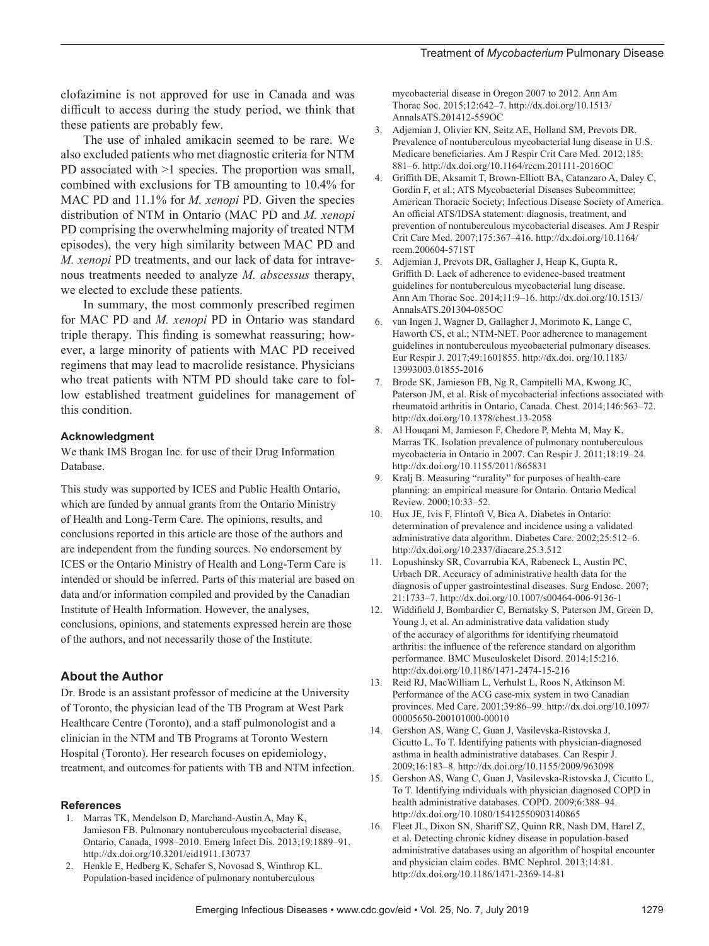clofazimine is not approved for use in Canada and was difficult to access during the study period, we think that these patients are probably few.

The use of inhaled amikacin seemed to be rare. We also excluded patients who met diagnostic criteria for NTM PD associated with >1 species. The proportion was small, combined with exclusions for TB amounting to 10.4% for MAC PD and 11.1% for *M. xenopi* PD. Given the species distribution of NTM in Ontario (MAC PD and *M. xenopi*  PD comprising the overwhelming majority of treated NTM episodes), the very high similarity between MAC PD and *M. xenopi* PD treatments, and our lack of data for intravenous treatments needed to analyze *M. abscessus* therapy, we elected to exclude these patients.

In summary, the most commonly prescribed regimen for MAC PD and *M. xenopi* PD in Ontario was standard triple therapy. This finding is somewhat reassuring; however, a large minority of patients with MAC PD received regimens that may lead to macrolide resistance. Physicians who treat patients with NTM PD should take care to follow established treatment guidelines for management of this condition.

#### **Acknowledgment**

We thank IMS Brogan Inc. for use of their Drug Information Database.

This study was supported by ICES and Public Health Ontario, which are funded by annual grants from the Ontario Ministry of Health and Long-Term Care. The opinions, results, and conclusions reported in this article are those of the authors and are independent from the funding sources. No endorsement by ICES or the Ontario Ministry of Health and Long-Term Care is intended or should be inferred. Parts of this material are based on data and/or information compiled and provided by the Canadian Institute of Health Information. However, the analyses, conclusions, opinions, and statements expressed herein are those of the authors, and not necessarily those of the Institute.

# **About the Author**

Dr. Brode is an assistant professor of medicine at the University of Toronto, the physician lead of the TB Program at West Park Healthcare Centre (Toronto), and a staff pulmonologist and a clinician in the NTM and TB Programs at Toronto Western Hospital (Toronto). Her research focuses on epidemiology, treatment, and outcomes for patients with TB and NTM infection.

#### **References**

- 1. Marras TK, Mendelson D, Marchand-Austin A, May K, Jamieson FB. Pulmonary nontuberculous mycobacterial disease, Ontario, Canada, 1998–2010. Emerg Infect Dis. 2013;19:1889–91. http://dx.doi.org/10.3201/eid1911.130737
- 2. Henkle E, Hedberg K, Schafer S, Novosad S, Winthrop KL. Population-based incidence of pulmonary nontuberculous

mycobacterial disease in Oregon 2007 to 2012. Ann Am Thorac Soc. 2015;12:642–7. http://dx.doi.org/10.1513/ AnnalsATS.201412-559OC

- 3. Adjemian J, Olivier KN, Seitz AE, Holland SM, Prevots DR. Prevalence of nontuberculous mycobacterial lung disease in U.S. Medicare beneficiaries. Am J Respir Crit Care Med. 2012;185: 881–6. http://dx.doi.org/10.1164/rccm.201111-2016OC
- 4. Griffith DE, Aksamit T, Brown-Elliott BA, Catanzaro A, Daley C, Gordin F, et al.; ATS Mycobacterial Diseases Subcommittee; American Thoracic Society; Infectious Disease Society of America. An official ATS/IDSA statement: diagnosis, treatment, and prevention of nontuberculous mycobacterial diseases. Am J Respir Crit Care Med. 2007;175:367–416. http://dx.doi.org/10.1164/ rccm.200604-571ST
- 5. Adjemian J, Prevots DR, Gallagher J, Heap K, Gupta R, Griffith D. Lack of adherence to evidence-based treatment guidelines for nontuberculous mycobacterial lung disease. Ann Am Thorac Soc. 2014;11:9–16. http://dx.doi.org/10.1513/ AnnalsATS.201304-085OC
- 6. van Ingen J, Wagner D, Gallagher J, Morimoto K, Lange C, Haworth CS, et al.; NTM-NET. Poor adherence to management guidelines in nontuberculous mycobacterial pulmonary diseases. Eur Respir J. 2017;49:1601855. http://dx.doi. org/10.1183/ 13993003.01855-2016
- 7. Brode SK, Jamieson FB, Ng R, Campitelli MA, Kwong JC, Paterson JM, et al. Risk of mycobacterial infections associated with rheumatoid arthritis in Ontario, Canada. Chest. 2014;146:563–72. http://dx.doi.org/10.1378/chest.13-2058
- 8. Al Houqani M, Jamieson F, Chedore P, Mehta M, May K, Marras TK. Isolation prevalence of pulmonary nontuberculous mycobacteria in Ontario in 2007. Can Respir J. 2011;18:19–24. http://dx.doi.org/10.1155/2011/865831
- 9. Kralj B. Measuring "rurality" for purposes of health-care planning: an empirical measure for Ontario. Ontario Medical Review. 2000;10:33–52.
- 10. Hux JE, Ivis F, Flintoft V, Bica A. Diabetes in Ontario: determination of prevalence and incidence using a validated administrative data algorithm. Diabetes Care. 2002;25:512–6. http://dx.doi.org/10.2337/diacare.25.3.512
- 11. Lopushinsky SR, Covarrubia KA, Rabeneck L, Austin PC, Urbach DR. Accuracy of administrative health data for the diagnosis of upper gastrointestinal diseases. Surg Endosc. 2007; 21:1733–7. http://dx.doi.org/10.1007/s00464-006-9136-1
- 12. Widdifield J, Bombardier C, Bernatsky S, Paterson JM, Green D, Young J, et al. An administrative data validation study of the accuracy of algorithms for identifying rheumatoid arthritis: the influence of the reference standard on algorithm performance. BMC Musculoskelet Disord. 2014;15:216. http://dx.doi.org/10.1186/1471-2474-15-216
- 13. Reid RJ, MacWilliam L, Verhulst L, Roos N, Atkinson M. Performance of the ACG case-mix system in two Canadian provinces. Med Care. 2001;39:86–99. http://dx.doi.org/10.1097/ 00005650-200101000-00010
- 14. Gershon AS, Wang C, Guan J, Vasilevska-Ristovska J, Cicutto L, To T. Identifying patients with physician-diagnosed asthma in health administrative databases. Can Respir J. 2009;16:183–8. http://dx.doi.org/10.1155/2009/963098
- 15. Gershon AS, Wang C, Guan J, Vasilevska-Ristovska J, Cicutto L, To T. Identifying individuals with physician diagnosed COPD in health administrative databases. COPD. 2009;6:388–94. http://dx.doi.org/10.1080/15412550903140865
- 16. Fleet JL, Dixon SN, Shariff SZ, Quinn RR, Nash DM, Harel Z, et al. Detecting chronic kidney disease in population-based administrative databases using an algorithm of hospital encounter and physician claim codes. BMC Nephrol. 2013;14:81. http://dx.doi.org/10.1186/1471-2369-14-81